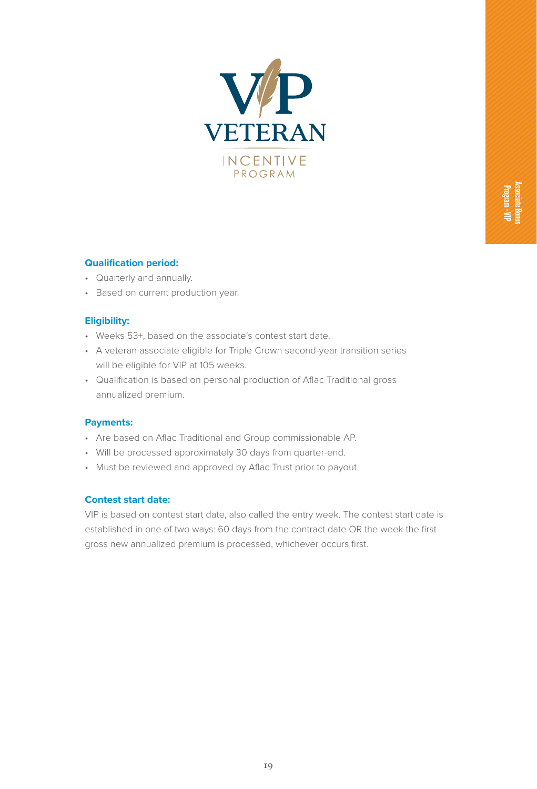

# **Qualification period:**

- Quarterly and annually.
- Based on current production year.

#### **Eligibility:**

- Weeks 53+, based on the associate's contest start date.
- A veteran associate eligible for Triple Crown second-year transition series will be eligible for VIP at 105 weeks.
- Qualification is based on personal production of Aflac Traditional gross annualized premium.

#### **Payments:**

- Are based on Aflac Traditional and Group commissionable AP.
- Will be processed approximately 30 days from quarter-end.
- Must be reviewed and approved by Aflac Trust prior to payout.

## **Contest start date:**

VIP is based on contest start date, also called the entry week. The contest start date is established in one of two ways: 60 days from the contract date OR the week the first gross new annualized premium is processed, whichever occurs first.